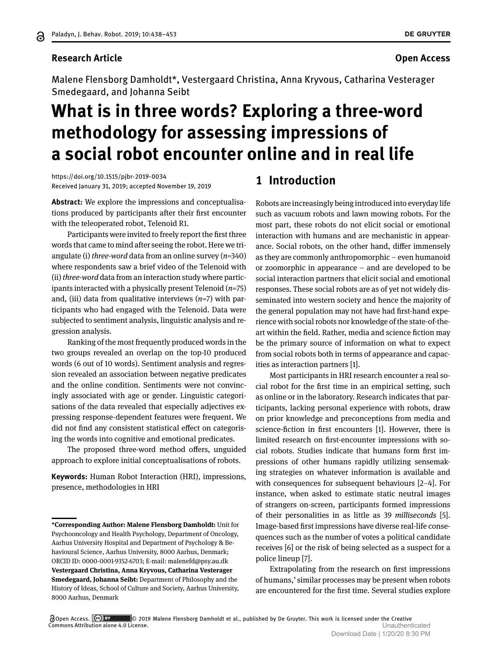#### **Research Article Open Access**

Malene Flensborg Damholdt\*, Vestergaard Christina, Anna Kryvous, Catharina Vesterager Smedegaard, and Johanna Seibt

# **What is in three words? Exploring a three-word methodology for assessing impressions of a social robot encounter online and in real life**

<https://doi.org/10.1515/pjbr-2019-0034> Received January 31, 2019; accepted November 19, 2019

**Abstract:** We explore the impressions and conceptualisations produced by participants after their first encounter with the teleoperated robot, Telenoid R1.

Participants were invited to freely report the first three words that came to mind after seeing the robot. Here we triangulate (i) *three-word* data from an online survey (*n*=340) where respondents saw a brief video of the Telenoid with (ii) *three-word* data from an interaction study where participants interacted with a physically present Telenoid (*n*=75) and, (iii) data from qualitative interviews (*n*=7) with participants who had engaged with the Telenoid. Data were subjected to sentiment analysis, linguistic analysis and regression analysis.

Ranking of the most frequently produced words in the two groups revealed an overlap on the top-10 produced words (6 out of 10 words). Sentiment analysis and regression revealed an association between negative predicates and the online condition. Sentiments were not convincingly associated with age or gender. Linguistic categorisations of the data revealed that especially adjectives expressing response-dependent features were frequent. We did not find any consistent statistical effect on categorising the words into cognitive and emotional predicates.

The proposed three-word method offers, unguided approach to explore initial conceptualisations of robots.

**Keywords:** Human Robot Interaction (HRI), impressions, presence, methodologies in HRI

# **1 Introduction**

Robots are increasingly being introduced into everyday life such as vacuum robots and lawn mowing robots. For the most part, these robots do not elicit social or emotional interaction with humans and are mechanistic in appearance. Social robots, on the other hand, differ immensely as they are commonly anthropomorphic – even humanoid or zoomorphic in appearance – and are developed to be social interaction partners that elicit social and emotional responses. These social robots are as of yet not widely disseminated into western society and hence the majority of the general population may not have had first-hand experience with social robots nor knowledge of the state-of-theart within the field. Rather, media and science fiction may be the primary source of information on what to expect from social robots both in terms of appearance and capacities as interaction partners [\[1\]](#page-13-0).

Most participants in HRI research encounter a real social robot for the first time in an empirical setting, such as online or in the laboratory. Research indicates that participants, lacking personal experience with robots, draw on prior knowledge and preconceptions from media and science-fiction in first encounters [\[1\]](#page-13-0). However, there is limited research on first-encounter impressions with social robots. Studies indicate that humans form first impressions of other humans rapidly utilizing sensemaking strategies on whatever information is available and with consequences for subsequent behaviours [\[2–](#page-13-1)[4\]](#page-13-2). For instance, when asked to estimate static neutral images of strangers on-screen, participants formed impressions of their personalities in as little as 39 *milliseconds* [\[5\]](#page-13-3). Image-based first impressions have diverse real-life consequences such as the number of votes a political candidate receives [\[6\]](#page-13-4) or the risk of being selected as a suspect for a police lineup [\[7\]](#page-14-0).

Extrapolating from the research on first impressions of humans,' similar processes may be present when robots are encountered for the first time. Several studies explore

**<sup>\*</sup>Corresponding Author: Malene Flensborg Damholdt:** Unit for Psychooncology and Health Psychology, Department of Oncology, Aarhus University Hospital and Department of Psychology & Behavioural Science, Aarhus University, 8000 Aarhus, Denmark; ORCID ID: 0000-0001-9352-6703; E-mail: malenefd@psy.au.dk **Vestergaard Christina, Anna Kryvous, Catharina Vesterager Smedegaard, Johanna Seibt:** Department of Philosophy and the History of Ideas, School of Culture and Society, Aarhus University, 8000 Aarhus, Denmark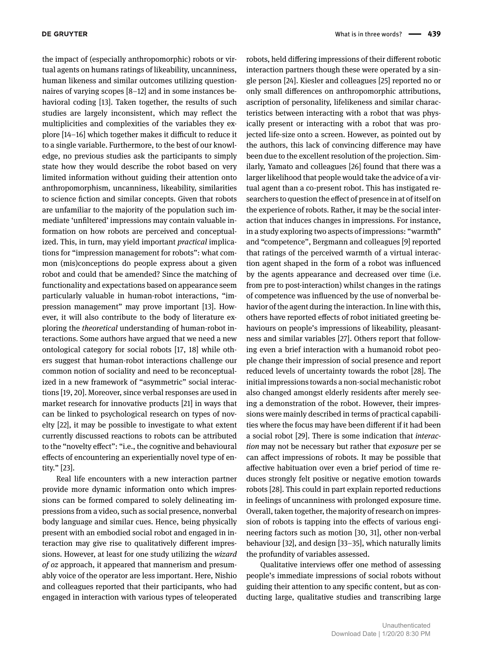the impact of (especially anthropomorphic) robots or virtual agents on humans ratings of likeability, uncanniness, human likeness and similar outcomes utilizing questionnaires of varying scopes [\[8](#page-14-1)[–12\]](#page-14-2) and in some instances behavioral coding [\[13\]](#page-14-3). Taken together, the results of such studies are largely inconsistent, which may reflect the multiplicities and complexities of the variables they explore [\[14–](#page-14-4)[16\]](#page-14-5) which together makes it difficult to reduce it to a single variable. Furthermore, to the best of our knowledge, no previous studies ask the participants to simply state how they would describe the robot based on very limited information without guiding their attention onto anthropomorphism, uncanniness, likeability, similarities to science fiction and similar concepts. Given that robots are unfamiliar to the majority of the population such immediate 'unfiltered' impressions may contain valuable information on how robots are perceived and conceptualized. This, in turn, may yield important *practical* implications for "impression management for robots": what common (mis)conceptions do people express about a given robot and could that be amended? Since the matching of functionality and expectations based on appearance seem particularly valuable in human-robot interactions, "impression management" may prove important [\[13\]](#page-14-3). However, it will also contribute to the body of literature exploring the *theoretical* understanding of human-robot interactions. Some authors have argued that we need a new ontological category for social robots [\[17,](#page-14-6) [18\]](#page-14-7) while others suggest that human-robot interactions challenge our common notion of sociality and need to be reconceptualized in a new framework of "asymmetric" social interactions [\[19,](#page-14-8) [20\]](#page-14-9). Moreover, since verbal responses are used in market research for innovative products [\[21\]](#page-14-10) in ways that can be linked to psychological research on types of novelty [\[22\]](#page-14-11), it may be possible to investigate to what extent currently discussed reactions to robots can be attributed to the "novelty effect": "i.e., the cognitive and behavioural effects of encountering an experientially novel type of entity." [\[23\]](#page-14-12).

Real life encounters with a new interaction partner provide more dynamic information onto which impressions can be formed compared to solely delineating impressions from a video, such as social presence, nonverbal body language and similar cues. Hence, being physically present with an embodied social robot and engaged in interaction may give rise to qualitatively different impressions. However, at least for one study utilizing the *wizard of oz* approach, it appeared that mannerism and presumably voice of the operator are less important. Here, Nishio and colleagues reported that their participants, who had engaged in interaction with various types of teleoperated

robots, held differing impressions of their different robotic interaction partners though these were operated by a single person [\[24\]](#page-14-13). Kiesler and colleagues [\[25\]](#page-14-14) reported no or only small differences on anthropomorphic attributions, ascription of personality, lifelikeness and similar characteristics between interacting with a robot that was physically present or interacting with a robot that was projected life-size onto a screen. However, as pointed out by the authors, this lack of convincing difference may have been due to the excellent resolution of the projection. Similarly, Yamato and colleagues [26] found that there was a larger likelihood that people would take the advice of a virtual agent than a co-present robot. This has instigated researchers to question the effect of presence in at of itself on the experience of robots. Rather, it may be the social interaction that induces changes in impressions. For instance, in a study exploring two aspects of impressions: "warmth" and "competence", Bergmann and colleagues [\[9\]](#page-14-15) reported that ratings of the perceived warmth of a virtual interaction agent shaped in the form of a robot was influenced by the agents appearance and decreased over time (i.e. from pre to post-interaction) whilst changes in the ratings of competence was influenced by the use of nonverbal behavior of the agent during the interaction. In line with this, others have reported effects of robot initiated greeting behaviours on people's impressions of likeability, pleasantness and similar variables [\[27\]](#page-14-16). Others report that following even a brief interaction with a humanoid robot people change their impression of social presence and report reduced levels of uncertainty towards the robot [\[28\]](#page-14-17). The initial impressions towards a non-social mechanistic robot also changed amongst elderly residents after merely seeing a demonstration of the robot. However, their impressions were mainly described in terms of practical capabilities where the focus may have been different if it had been a social robot [\[29\]](#page-14-18). There is some indication that *interaction* may not be necessary but rather that *exposure* per se can affect impressions of robots. It may be possible that affective habituation over even a brief period of time reduces strongly felt positive or negative emotion towards robots [\[28\]](#page-14-17). This could in part explain reported reductions in feelings of uncanniness with prolonged exposure time. Overall, taken together, the majority of research on impression of robots is tapping into the effects of various engineering factors such as motion [\[30,](#page-14-19) [31\]](#page-14-20), other non-verbal behaviour [\[32\]](#page-14-21), and design [\[33–](#page-14-22)[35\]](#page-14-23), which naturally limits the profundity of variables assessed.

Qualitative interviews offer one method of assessing people's immediate impressions of social robots without guiding their attention to any specific content, but as conducting large, qualitative studies and transcribing large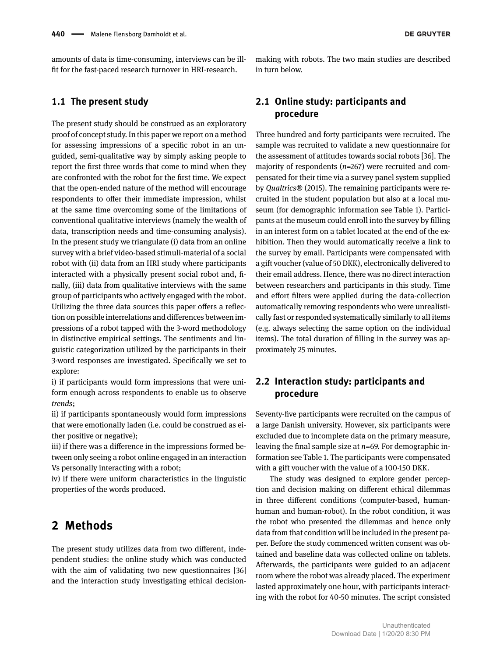amounts of data is time-consuming, interviews can be illfit for the fast-paced research turnover in HRI-research.

### **1.1 The present study**

The present study should be construed as an exploratory proof of concept study. In this paper we report on a method for assessing impressions of a specific robot in an unguided, semi-qualitative way by simply asking people to report the first three words that come to mind when they are confronted with the robot for the first time. We expect that the open-ended nature of the method will encourage respondents to offer their immediate impression, whilst at the same time overcoming some of the limitations of conventional qualitative interviews (namely the wealth of data, transcription needs and time-consuming analysis). In the present study we triangulate (i) data from an online survey with a brief video-based stimuli-material of a social robot with (ii) data from an HRI study where participants interacted with a physically present social robot and, finally, (iii) data from qualitative interviews with the same group of participants who actively engaged with the robot. Utilizing the three data sources this paper offers a reflection on possible interrelations and differences between impressions of a robot tapped with the 3-word methodology in distinctive empirical settings. The sentiments and linguistic categorization utilized by the participants in their 3-word responses are investigated. Specifically we set to explore:

i) if participants would form impressions that were uniform enough across respondents to enable us to observe *trends*;

ii) if participants spontaneously would form impressions that were emotionally laden (i.e. could be construed as either positive or negative);

iii) if there was a difference in the impressions formed between only seeing a robot online engaged in an interaction Vs personally interacting with a robot;

iv) if there were uniform characteristics in the linguistic properties of the words produced.

# **2 Methods**

The present study utilizes data from two different, independent studies: the online study which was conducted with the aim of validating two new questionnaires [36] and the interaction study investigating ethical decisionmaking with robots. The two main studies are described in turn below.

# **2.1 Online study: participants and procedure**

Three hundred and forty participants were recruited. The sample was recruited to validate a new questionnaire for the assessment of attitudes towards social robots [\[36\]](#page-14-24). The majority of respondents (*n*=267) were recruited and compensated for their time via a survey panel system supplied by *Qualtrics***®** (2015). The remaining participants were recruited in the student population but also at a local museum (for demographic information see Table 1). Participants at the museum could enroll into the survey by filling in an interest form on a tablet located at the end of the exhibition. Then they would automatically receive a link to the survey by email. Participants were compensated with a gift voucher (value of 50 DKK), electronically delivered to their email address. Hence, there was no direct interaction between researchers and participants in this study. Time and effort filters were applied during the data-collection automatically removing respondents who were unrealistically fast or responded systematically similarly to all items (e.g. always selecting the same option on the individual items). The total duration of filling in the survey was approximately 25 minutes.

# **2.2 Interaction study: participants and procedure**

Seventy-five participants were recruited on the campus of a large Danish university. However, six participants were excluded due to incomplete data on the primary measure, leaving the final sample size at *n*=69. For demographic information see Table 1. The participants were compensated with a gift voucher with the value of a 100-150 DKK.

The study was designed to explore gender perception and decision making on different ethical dilemmas in three different conditions (computer-based, humanhuman and human-robot). In the robot condition, it was the robot who presented the dilemmas and hence only data from that condition will be included in the present paper. Before the study commenced written consent was obtained and baseline data was collected online on tablets. Afterwards, the participants were guided to an adjacent room where the robot was already placed. The experiment lasted approximately one hour, with participants interacting with the robot for 40-50 minutes. The script consisted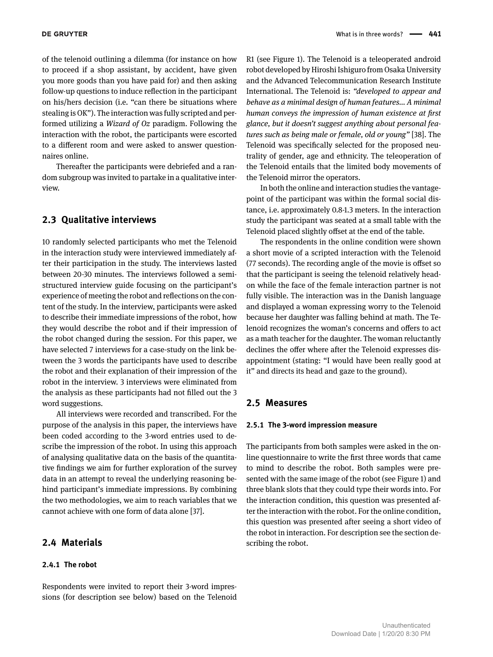of the telenoid outlining a dilemma (for instance on how to proceed if a shop assistant, by accident, have given you more goods than you have paid for) and then asking follow-up questions to induce reflection in the participant on his/hers decision (i.e. "can there be situations where stealing is OK"). The interaction was fully scripted and performed utilizing a *Wizard of Oz* paradigm. Following the interaction with the robot, the participants were escorted to a different room and were asked to answer questionnaires online.

Thereafter the participants were debriefed and a random subgroup was invited to partake in a qualitative interview.

#### **2.3 Qualitative interviews**

10 randomly selected participants who met the Telenoid in the interaction study were interviewed immediately after their participation in the study. The interviews lasted between 20-30 minutes. The interviews followed a semistructured interview guide focusing on the participant's experience of meeting the robot and reflections on the content of the study. In the interview, participants were asked to describe their immediate impressions of the robot, how they would describe the robot and if their impression of the robot changed during the session. For this paper, we have selected 7 interviews for a case-study on the link between the 3 words the participants have used to describe the robot and their explanation of their impression of the robot in the interview. 3 interviews were eliminated from the analysis as these participants had not filled out the 3 word suggestions.

All interviews were recorded and transcribed. For the purpose of the analysis in this paper, the interviews have been coded according to the 3-word entries used to describe the impression of the robot. In using this approach of analysing qualitative data on the basis of the quantitative findings we aim for further exploration of the survey data in an attempt to reveal the underlying reasoning behind participant's immediate impressions. By combining the two methodologies, we aim to reach variables that we cannot achieve with one form of data alone [\[37\]](#page-14-25).

#### **2.4 Materials**

#### **2.4.1 The robot**

Respondents were invited to report their 3-word impressions (for description see below) based on the Telenoid R1 (see Figure 1). The Telenoid is a teleoperated android robot developed by Hiroshi Ishiguro from Osaka University and the Advanced Telecommunication Research Institute International. The Telenoid is: *"developed to appear and behave as a minimal design of human features... A minimal human conveys the impression of human existence at first glance, but it doesn't suggest anything about personal features such as being male or female, old or young"* [\[38\]](#page-14-26). The Telenoid was specifically selected for the proposed neutrality of gender, age and ethnicity. The teleoperation of the Telenoid entails that the limited body movements of the Telenoid mirror the operators.

In both the online and interaction studies the vantagepoint of the participant was within the formal social distance, i.e. approximately 0.8-1.3 meters. In the interaction study the participant was seated at a small table with the Telenoid placed slightly offset at the end of the table.

The respondents in the online condition were shown a short movie of a scripted interaction with the Telenoid (77 seconds). The recording angle of the movie is offset so that the participant is seeing the telenoid relatively headon while the face of the female interaction partner is not fully visible. The interaction was in the Danish language and displayed a woman expressing worry to the Telenoid because her daughter was falling behind at math. The Telenoid recognizes the woman's concerns and offers to act as a math teacher for the daughter. The woman reluctantly declines the offer where after the Telenoid expresses disappointment (stating: "I would have been really good at it" and directs its head and gaze to the ground).

#### **2.5 Measures**

#### **2.5.1 The 3-word impression measure**

The participants from both samples were asked in the online questionnaire to write the first three words that came to mind to describe the robot. Both samples were presented with the same image of the robot (see Figure 1) and three blank slots that they could type their words into. For the interaction condition, this question was presented after the interaction with the robot. For the online condition, this question was presented after seeing a short video of the robot in interaction. For description see the section describing the robot.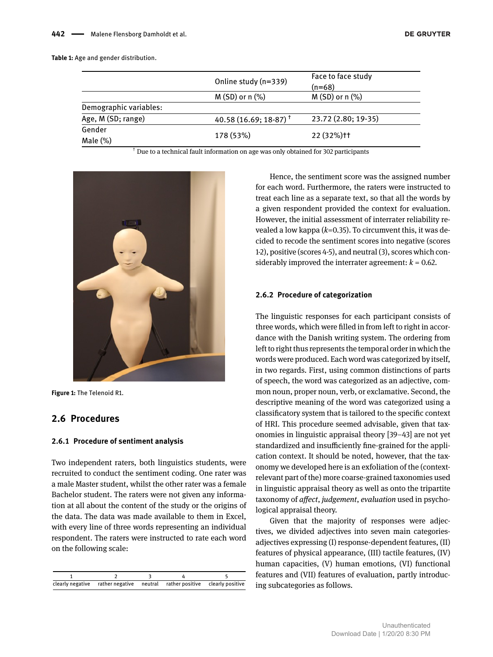#### **Table 1:** Age and gender distribution.

|                        | Online study (n=339)              | Face to face study<br>(n=68) |
|------------------------|-----------------------------------|------------------------------|
|                        | $M(SD)$ or n $(\%)$               | $M(SD)$ or n $(\%)$          |
| Demographic variables: |                                   |                              |
| Age, M (SD; range)     | 40.58 (16.69; 18-87) <sup>†</sup> | 23.72 (2.80; 19-35)          |
| Gender                 |                                   |                              |
| Male $(\%)$            | 178 (53%)                         | 22 (32%) <sup>++</sup>       |

† Due to a technical fault information on age was only obtained for 302 participants



**Figure 1:** The Telenoid R1.

## **2.6 Procedures**

#### **2.6.1 Procedure of sentiment analysis**

Two independent raters, both linguistics students, were recruited to conduct the sentiment coding. One rater was a male Master student, whilst the other rater was a female Bachelor student. The raters were not given any information at all about the content of the study or the origins of the data. The data was made available to them in Excel, with every line of three words representing an individual respondent. The raters were instructed to rate each word on the following scale:

| clearly negative rather negative neutral rather positive clearly positive |  |  |
|---------------------------------------------------------------------------|--|--|

Hence, the sentiment score was the assigned number for each word. Furthermore, the raters were instructed to treat each line as a separate text, so that all the words by a given respondent provided the context for evaluation. However, the initial assessment of interrater reliability revealed a low kappa (*k*=0.35). To circumvent this, it was decided to recode the sentiment scores into negative (scores 1-2), positive (scores 4-5), and neutral (3), scores which considerably improved the interrater agreement:  $k = 0.62$ .

#### **2.6.2 Procedure of categorization**

The linguistic responses for each participant consists of three words, which were filled in from left to right in accordance with the Danish writing system. The ordering from left to right thus represents the temporal order in which the words were produced. Each word was categorized by itself, in two regards. First, using common distinctions of parts of speech, the word was categorized as an adjective, common noun, proper noun, verb, or exclamative. Second, the descriptive meaning of the word was categorized using a classificatory system that is tailored to the specific context of HRI. This procedure seemed advisable, given that taxonomies in linguistic appraisal theory [\[39](#page-14-27)[–43\]](#page-15-1) are not yet standardized and insufficiently fine-grained for the application context. It should be noted, however, that the taxonomy we developed here is an exfoliation of the (contextrelevant part of the) more coarse-grained taxonomies used in linguistic appraisal theory as well as onto the tripartite taxonomy of *affect*, *judgement*, *evaluation* used in psychological appraisal theory.

Given that the majority of responses were adjectives, we divided adjectives into seven main categoriesadjectives expressing (I) response-dependent features, (II) features of physical appearance, (III) tactile features, (IV) human capacities, (V) human emotions, (VI) functional features and (VII) features of evaluation, partly introducing subcategories as follows.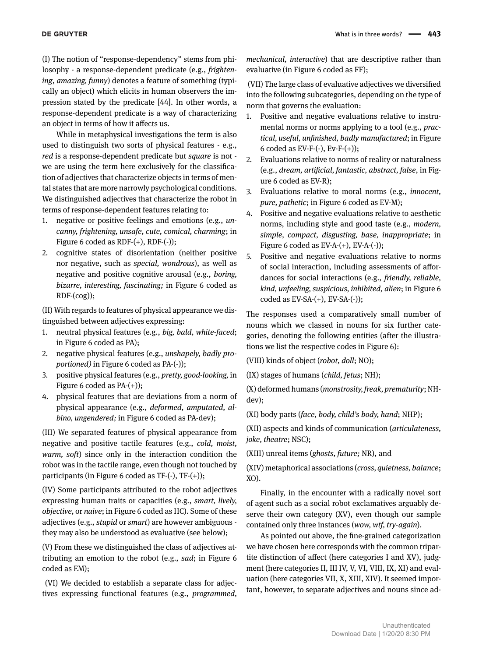(I) The notion of "response-dependency" stems from philosophy - a response-dependent predicate (e.g., *frightening*, *amazing, funny*) denotes a feature of something (typically an object) which elicits in human observers the impression stated by the predicate [\[44\]](#page-15-2). In other words, a response-dependent predicate is a way of characterizing an object in terms of how it affects us.

While in metaphysical investigations the term is also used to distinguish two sorts of physical features - e.g., *red* is a response-dependent predicate but *square* is not we are using the term here exclusively for the classification of adjectives that characterize objects in terms of mental states that are more narrowly psychological conditions. We distinguished adjectives that characterize the robot in terms of response-dependent features relating to:

- 1. negative or positive feelings and emotions (e.g., *uncanny, frightening, unsafe, cute, comical, charming*; in Figure 6 coded as  $RDF-(+)$ ,  $RDF-(-)$ );
- 2. cognitive states of disorientation (neither positive nor negative, such as *special, wondrous*), as well as negative and positive cognitive arousal (e.g., *boring, bizarre, interesting, fascinating;* in Figure 6 coded as RDF-(cog));

(II) With regards to features of physical appearance we distinguished between adjectives expressing:

- 1. neutral physical features (e.g., *big, bald, white-faced*; in Figure 6 coded as PA);
- 2. negative physical features (e.g., *unshapely, badly proportioned*) in Figure 6 coded as PA-(-));
- 3. positive physical features (e.g., *pretty, good-looking,* in Figure 6 coded as  $PA-(+)$ ;
- 4. physical features that are deviations from a norm of physical appearance (e.g., *deformed, amputated, albino, ungendered;* in Figure 6 coded as PA-dev);

(III) We separated features of physical appearance from negative and positive tactile features (e.g., *cold, moist, warm, soft*) since only in the interaction condition the robot was in the tactile range, even though not touched by participants (in Figure 6 coded as TF-(-), TF-(+));

(IV) Some participants attributed to the robot adjectives expressing human traits or capacities (e.g., *smart, lively, objective,* or *naive*; in Figure 6 coded as HC). Some of these adjectives (e.g., *stupid* or *smart*) are however ambiguous they may also be understood as evaluative (see below);

(V) From these we distinguished the class of adjectives attributing an emotion to the robot (e.g., *sad*; in Figure 6 coded as EM);

(VI) We decided to establish a separate class for adjectives expressing functional features (e.g., *programmed,* *mechanical, interactive*) that are descriptive rather than evaluative (in Figure 6 coded as FF);

(VII) The large class of evaluative adjectives we diversified into the following subcategories, depending on the type of norm that governs the evaluation:

- 1. Positive and negative evaluations relative to instrumental norms or norms applying to a tool (e.g., *practical, useful, unfinished, badly manufactured*; in Figure 6 coded as  $EV-F-(-)$ ,  $Ev-F-(+)$ ;
- 2. Evaluations relative to norms of reality or naturalness (e.g., *dream, artificial, fantastic, abstract, false*, in Figure 6 coded as EV-R);
- 3. Evaluations relative to moral norms (e.g., *innocent, pure, pathetic*; in Figure 6 coded as EV-M);
- 4. Positive and negative evaluations relative to aesthetic norms, including style and good taste (e.g., *modern, simple, compact, disgusting, base, inappropriate*; in Figure 6 coded as  $EV-A-(+)$ ,  $EV-A-(-)$ );
- 5. Positive and negative evaluations relative to norms of social interaction, including assessments of affordances for social interactions (e.g., *friendly, reliable, kind, unfeeling, suspicious, inhibited, alien*; in Figure 6 coded as  $EV-SA-(+)$ ,  $EV-SA-(-)$ ;

The responses used a comparatively small number of nouns which we classed in nouns for six further categories, denoting the following entities (after the illustrations we list the respective codes in Figure 6):

(VIII) kinds of object (*robot, doll*; NO);

(IX) stages of humans (*child, fetus*; NH);

(X) deformed humans (*monstrosity, freak, prematurity*; NHdev);

(XI) body parts (*face, body, child's body, hand*; NHP);

(XII) aspects and kinds of communication (*articulateness, joke, theatre*; NSC);

(XIII) unreal items (*ghosts, future;* NR), and

(XIV) metaphorical associations (*cross, quietness, balance*; XO).

Finally, in the encounter with a radically novel sort of agent such as a social robot exclamatives arguably deserve their own category (XV), even though our sample contained only three instances (*wow, wtf, try-again*).

As pointed out above, the fine-grained categorization we have chosen here corresponds with the common tripartite distinction of affect (here categories I and XV), judgment (here categories II, III IV, V, VI, VIII, IX, XI) and evaluation (here categories VII, X, XIII, XIV). It seemed important, however, to separate adjectives and nouns since ad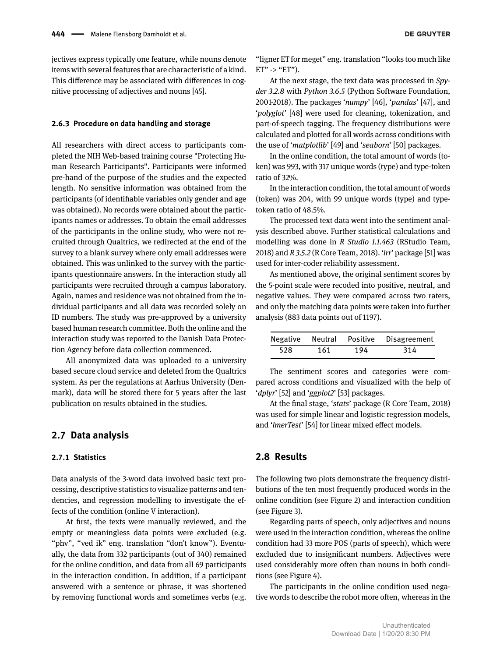jectives express typically one feature, while nouns denote items with several features that are characteristic of a kind. This difference may be associated with differences in cognitive processing of adjectives and nouns [\[45\]](#page-15-3).

#### **2.6.3 Procedure on data handling and storage**

All researchers with direct access to participants completed the NIH Web-based training course "Protecting Human Research Participants". Participants were informed pre-hand of the purpose of the studies and the expected length. No sensitive information was obtained from the participants (of identifiable variables only gender and age was obtained). No records were obtained about the participants names or addresses. To obtain the email addresses of the participants in the online study, who were not recruited through Qualtrics, we redirected at the end of the survey to a blank survey where only email addresses were obtained. This was unlinked to the survey with the participants questionnaire answers. In the interaction study all participants were recruited through a campus laboratory. Again, names and residence was not obtained from the individual participants and all data was recorded solely on ID numbers. The study was pre-approved by a university based human research committee. Both the online and the interaction study was reported to the Danish Data Protection Agency before data collection commenced.

All anonymized data was uploaded to a university based secure cloud service and deleted from the Qualtrics system. As per the regulations at Aarhus University (Denmark), data will be stored there for 5 years after the last publication on results obtained in the studies.

#### **2.7 Data analysis**

#### **2.7.1 Statistics**

Data analysis of the 3-word data involved basic text processing, descriptive statistics to visualize patterns and tendencies, and regression modelling to investigate the effects of the condition (online V interaction).

At first, the texts were manually reviewed, and the empty or meaningless data points were excluded (e.g. "phv", "ved ik" eng. translation "don't know"). Eventually, the data from 332 participants (out of 340) remained for the online condition, and data from all 69 participants in the interaction condition. In addition, if a participant answered with a sentence or phrase, it was shortened by removing functional words and sometimes verbs (e.g.

At the next stage, the text data was processed in *Spyder 3.2.8* with *Python 3.6.5* (Python Software Foundation, 2001-2018). The packages '*numpy*' [\[46\]](#page-15-4), '*pandas*' [\[47\]](#page-15-5), and '*polyglot*' [\[48\]](#page-15-6) were used for cleaning, tokenization, and part-of-speech tagging. The frequency distributions were calculated and plotted for all words across conditions with the use of '*matplotlib*' [\[49\]](#page-15-7) and '*seaborn*' [\[50\]](#page-15-8) packages.

In the online condition, the total amount of words (token) was 993, with 317 unique words (type) and type-token ratio of 32%.

In the interaction condition, the total amount of words (token) was 204, with 99 unique words (type) and typetoken ratio of 48.5%.

The processed text data went into the sentiment analysis described above. Further statistical calculations and modelling was done in *R Studio 1.1.463* (RStudio Team, 2018) and *R 3.5.2* (R Core Team, 2018). '*irr*' package [51] was used for inter-coder reliability assessment.

As mentioned above, the original sentiment scores by the 5-point scale were recoded into positive, neutral, and negative values. They were compared across two raters, and only the matching data points were taken into further analysis (883 data points out of 1197).

|     |     |     | Negative Neutral Positive Disagreement |
|-----|-----|-----|----------------------------------------|
| 528 | 161 | 194 | -314                                   |

The sentiment scores and categories were compared across conditions and visualized with the help of '*dplyr*' [\[52\]](#page-15-9) and '*ggplot2*' [\[53\]](#page-15-10) packages.

At the final stage, '*stats*' package (R Core Team, 2018) was used for simple linear and logistic regression models, and '*lmerTest*' [\[54\]](#page-15-11) for linear mixed effect models.

#### **2.8 Results**

The following two plots demonstrate the frequency distributions of the ten most frequently produced words in the online condition (see Figure 2) and interaction condition (see Figure 3).

Regarding parts of speech, only adjectives and nouns were used in the interaction condition, whereas the online condition had 33 more POS (parts of speech), which were excluded due to insignificant numbers. Adjectives were used considerably more often than nouns in both conditions (see Figure 4).

The participants in the online condition used negative words to describe the robot more often, whereas in the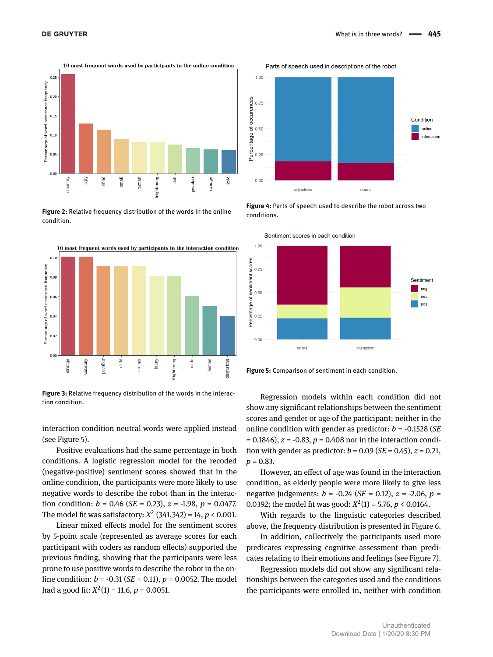

**Figure 2:** Relative frequency distribution of the words in the online condition.



**Figure 3:** Relative frequency distribution of the words in the interaction condition.

interaction condition neutral words were applied instead (see Figure 5).

Positive evaluations had the same percentage in both conditions. A logistic regression model for the recoded (negative-positive) sentiment scores showed that in the online condition, the participants were more likely to use negative words to describe the robot than in the interaction condition:  $b = 0.46$  (*SE* = 0.23),  $z = -1.98$ ,  $p = 0.0477$ . The model fit was satisfactory:  $X^2$  (341,342) = 14,  $p < 0.001$ .

Linear mixed effects model for the sentiment scores by 5-point scale (represented as average scores for each participant with coders as random effects) supported the previous finding, showing that the participants were less prone to use positive words to describe the robot in the online condition: *b* = -0.31 (*SE* = 0.11), *p* = 0.0052. The model had a good fit:  $X^2(1) = 11.6$ ,  $p = 0.0051$ .



Parts of speech used in descriptions of the robot

**Figure 4:** Parts of speech used to describe the robot across two conditions.





Regression models within each condition did not show any significant relationships between the sentiment scores and gender or age of the participant: neither in the online condition with gender as predictor: *b* = -0.1528 (*SE* = 0.1846), *z* = -0.83, *p* = 0.408 nor in the interaction condition with gender as predictor:  $b = 0.09$  (*SE* = 0.45),  $z = 0.21$ , *p* = 0.83.

However, an effect of age was found in the interaction condition, as elderly people were more likely to give less negative judgements: *b* = -0.24 (*SE* = 0.12), *z* = -2.06, *p* = 0.0392; the model fit was good:  $X^2(1) = 5.76$ ,  $p < 0.0164$ .

With regards to the linguistic categories described above, the frequency distribution is presented in Figure 6.

In addition, collectively the participants used more predicates expressing cognitive assessment than predicates relating to their emotions and feelings (see Figure 7).

Regression models did not show any significant relationships between the categories used and the conditions the participants were enrolled in, neither with condition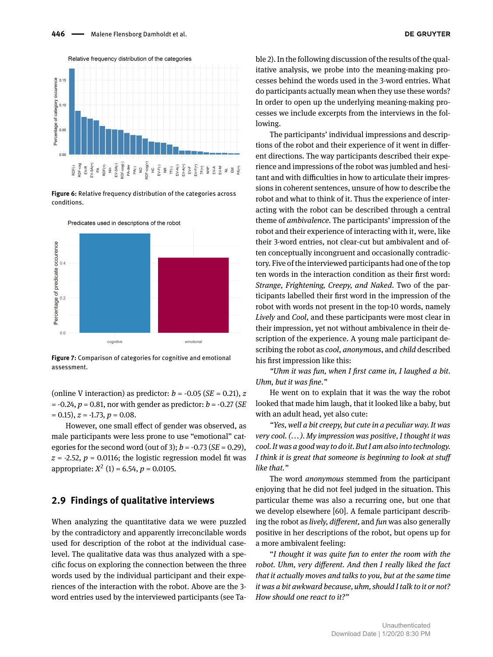

**Figure 6:** Relative frequency distribution of the categories across conditions.



Predicates used in descriptions of the robot

**Figure 7:** Comparison of categories for cognitive and emotional assessment.

(online V interaction) as predictor:  $b = -0.05$  (*SE* = 0.21), *z* = -0.24, *p* = 0.81, nor with gender as predictor: *b* = -0.27 (*SE*  $= 0.15$ ,  $z = -1.73$ ,  $p = 0.08$ .

However, one small effect of gender was observed, as male participants were less prone to use "emotional" categories for the second word (out of 3);  $b = -0.73$  (*SE* = 0.29),  $z = -2.52$ ,  $p = 0.0116$ ; the logistic regression model fit was appropriate:  $X^2$  (1) = 6.54,  $p = 0.0105$ .

#### **2.9 Findings of qualitative interviews**

When analyzing the quantitative data we were puzzled by the contradictory and apparently irreconcilable words used for description of the robot at the individual caselevel. The qualitative data was thus analyzed with a specific focus on exploring the connection between the three words used by the individual participant and their experiences of the interaction with the robot. Above are the 3 word entries used by the interviewed participants (see Table 2). In the following discussion of the results of the qualitative analysis, we probe into the meaning-making processes behind the words used in the 3-word entries. What do participants actually mean when they use these words? In order to open up the underlying meaning-making processes we include excerpts from the interviews in the following.

The participants' individual impressions and descriptions of the robot and their experience of it went in different directions. The way participants described their experience and impressions of the robot was jumbled and hesitant and with difficulties in how to articulate their impressions in coherent sentences, unsure of how to describe the robot and what to think of it. Thus the experience of interacting with the robot can be described through a central theme of *ambivalence.* The participants' impression of the robot and their experience of interacting with it, were, like their 3-word entries, not clear-cut but ambivalent and often conceptually incongruent and occasionally contradictory. Five of the interviewed participants had one of the top ten words in the interaction condition as their first word: *Strange, Frightening, Creepy, and Naked*. Two of the participants labelled their first word in the impression of the robot with words not present in the top-10 words, namely *Lively* and *Cool*, and these participants were most clear in their impression, yet not without ambivalence in their description of the experience. A young male participant describing the robot as *cool*, *anonymous*, and *child* described his first impression like this:

*"Uhm it was fun, when I first came in, I laughed a bit. Uhm, but it was fine."*

He went on to explain that it was the way the robot looked that made him laugh, that it looked like a baby, but with an adult head, yet also cute:

*"Yes, well a bit creepy, but cute in a peculiar way. It was very cool. (... ). My impression was positive, I thought it was cool. It was a good way to do it. But I am also into technology. I think it is great that someone is beginning to look at stuff like that."*

The word *anonymous* stemmed from the participant enjoying that he did not feel judged in the situation. This particular theme was also a recurring one, but one that we develop elsewhere [\[60\]](#page-15-12). A female participant describing the robot as *lively, different,* and *fun* was also generally positive in her descriptions of the robot, but opens up for a more ambivalent feeling:

"*I thought it was quite fun to enter the room with the robot. Uhm, very different. And then I really liked the fact that it actually moves and talks to you, but at the same time it was a bit awkward because, uhm, should I talk to it or not? How should one react to it?"*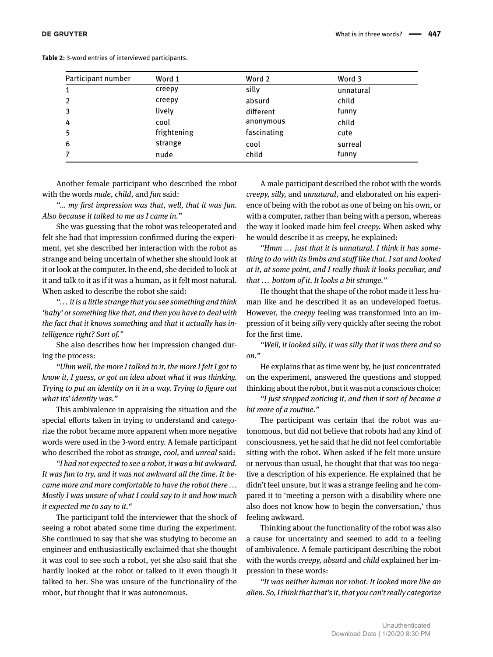|  |  | <b>Table 2:</b> 3-word entries of interviewed participants. |  |  |
|--|--|-------------------------------------------------------------|--|--|
|  |  |                                                             |  |  |

| Participant number | Word 1      | Word 2      | Word 3    |
|--------------------|-------------|-------------|-----------|
| 1                  | creepy      | silly       | unnatural |
| $\overline{2}$     | creepy      | absurd      | child     |
| 3                  | lively      | different   | funny     |
| 4                  | cool        | anonymous   | child     |
| 5                  | frightening | fascinating | cute      |
| 6                  | strange     | cool        | surreal   |
| $\overline{7}$     | nude        | child       | funny     |

Another female participant who described the robot with the words *nude*, *child*, and *fun* said:

*"... my first impression was that, well, that it was fun. Also because it talked to me as I came in."*

She was guessing that the robot was teleoperated and felt she had that impression confirmed during the experiment, yet she described her interaction with the robot as strange and being uncertain of whether she should look at it or look at the computer. In the end, she decided to look at it and talk to it as if it was a human, as it felt most natural. When asked to describe the robot she said:

*"... it is a little strange that you see something and think 'baby' or something like that, and then you have to deal with the fact that it knows something and that it actually has intelligence right? Sort of."*

She also describes how her impression changed during the process:

*"Uhm well, the more I talked to it, the more I felt I got to know it, I guess, or got an idea about what it was thinking. Trying to put an identity on it in a way. Trying to figure out what its' identity was."*

This ambivalence in appraising the situation and the special efforts taken in trying to understand and categorize the robot became more apparent when more negative words were used in the 3-word entry. A female participant who described the robot as *strange, cool,* and *unreal* said:

*"I had not expected to see a robot, it was a bit awkward. It was fun to try, and it was not awkward all the time. It became more and more comfortable to have the robot there ... Mostly I was unsure of what I could say to it and how much it expected me to say to it."*

The participant told the interviewer that the shock of seeing a robot abated some time during the experiment. She continued to say that she was studying to become an engineer and enthusiastically exclaimed that she thought it was cool to see such a robot, yet she also said that she hardly looked at the robot or talked to it even though it talked to her. She was unsure of the functionality of the robot, but thought that it was autonomous.

A male participant described the robot with the words *creepy, silly,* and *unnatural*, and elaborated on his experience of being with the robot as one of being on his own, or with a computer, rather than being with a person, whereas the way it looked made him feel *creepy.* When asked why he would describe it as creepy, he explained:

*"Hmm ... just that it is unnatural. I think it has something to do with its limbs and stuff like that. I sat and looked at it, at some point, and I really think it looks peculiar, and that ... bottom of it. It looks a bit strange."*

He thought that the shape of the robot made it less human like and he described it as an undeveloped foetus. However, the *creepy* feeling was transformed into an impression of it being *silly* very quickly after seeing the robot for the first time.

*"Well, it looked silly, it was silly that it was there and so on."*

He explains that as time went by, he just concentrated on the experiment, answered the questions and stopped thinking about the robot, but it was not a conscious choice:

*"I just stopped noticing it, and then it sort of became a bit more of a routine."*

The participant was certain that the robot was autonomous, but did not believe that robots had any kind of consciousness, yet he said that he did not feel comfortable sitting with the robot. When asked if he felt more unsure or nervous than usual, he thought that that was too negative a description of his experience. He explained that he didn't feel unsure, but it was a strange feeling and he compared it to 'meeting a person with a disability where one also does not know how to begin the conversation,' thus feeling awkward.

Thinking about the functionality of the robot was also a cause for uncertainty and seemed to add to a feeling of ambivalence. A female participant describing the robot with the words *creepy, absurd* and *child* explained her impression in these words:

*"It was neither human nor robot. It looked more like an alien. So, I think that that's it, that you can't really categorize*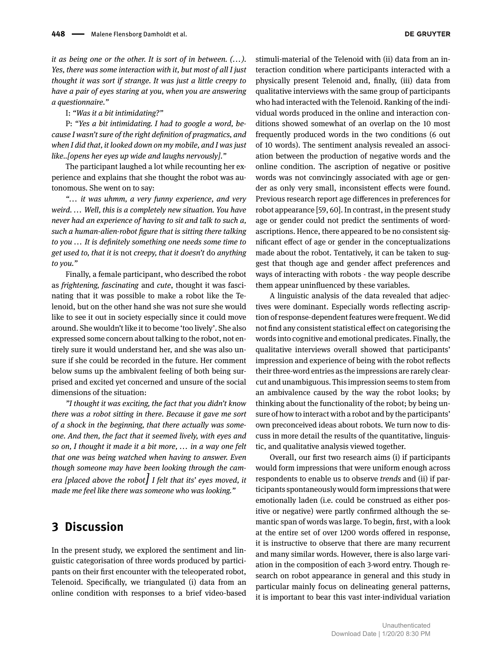*it as being one or the other. It is sort of in between. (... ). Yes, there was some interaction with it, but most of all I just thought it was sort if strange. It was just a little creepy to have a pair of eyes staring at you, when you are answering a questionnaire."*

I: *"Was it a bit intimidating?"*

P: *"Yes a bit intimidating. I had to google a word, because I wasn't sure of the right definition of pragmatics, and when I did that, it looked down on my mobile, and I was just like..[opens her eyes up wide and laughs nervously]."*

The participant laughed a lot while recounting her experience and explains that she thought the robot was autonomous. She went on to say:

*"... it was uhmm, a very funny experience, and very weird. ... Well, this is a completely new situation. You have never had an experience of having to sit and talk to such a, such a human-alien-robot figure that is sitting there talking to you ... It is definitely something one needs some time to get used to, that it is* not *creepy, that it doesn't* do *anything to you."*

Finally, a female participant, who described the robot as *frightening, fascinating* and *cute*, thought it was fascinating that it was possible to make a robot like the Telenoid, but on the other hand she was not sure she would like to see it out in society especially since it could move around. She wouldn't like it to become 'too lively'. She also expressed some concern about talking to the robot, not entirely sure it would understand her, and she was also unsure if she could be recorded in the future. Her comment below sums up the ambivalent feeling of both being surprised and excited yet concerned and unsure of the social dimensions of the situation:

*"I thought it was exciting, the fact that you didn't know there was a robot sitting in there. Because it gave me sort of a shock in the beginning, that there actually was someone. And then, the fact that it seemed lively, with eyes and so on, I thought it made it a bit more, ... in a way one felt that one was being watched when having to answer. Even though someone may have been looking through the camera [placed above the robot] I felt that its' eyes moved, it made me feel like there was someone who was looking."*

# **3 Discussion**

In the present study, we explored the sentiment and linguistic categorisation of three words produced by participants on their first encounter with the teleoperated robot, Telenoid. Specifically, we triangulated (i) data from an online condition with responses to a brief video-based stimuli-material of the Telenoid with (ii) data from an interaction condition where participants interacted with a physically present Telenoid and, finally, (iii) data from qualitative interviews with the same group of participants who had interacted with the Telenoid. Ranking of the individual words produced in the online and interaction conditions showed somewhat of an overlap on the 10 most frequently produced words in the two conditions (6 out of 10 words). The sentiment analysis revealed an association between the production of negative words and the online condition. The ascription of negative or positive words was not convincingly associated with age or gender as only very small, inconsistent effects were found. Previous research report age differences in preferences for robot appearance [\[59,](#page-15-13) [60\]](#page-15-12). In contrast, in the present study age or gender could not predict the sentiments of wordascriptions. Hence, there appeared to be no consistent significant effect of age or gender in the conceptualizations made about the robot. Tentatively, it can be taken to suggest that though age and gender affect preferences and ways of interacting with robots - the way people describe

A linguistic analysis of the data revealed that adjectives were dominant. Especially words reflecting ascription of response-dependent features were frequent. We did not find any consistent statistical effect on categorising the words into cognitive and emotional predicates. Finally, the qualitative interviews overall showed that participants' impression and experience of being with the robot reflects their three-word entries as the impressions are rarely clearcut and unambiguous. This impression seems to stem from an ambivalence caused by the way the robot looks; by thinking about the functionality of the robot; by being unsure of how to interact with a robot and by the participants' own preconceived ideas about robots. We turn now to discuss in more detail the results of the quantitative, linguistic, and qualitative analysis viewed together.

them appear uninfluenced by these variables.

Overall, our first two research aims (i) if participants would form impressions that were uniform enough across respondents to enable us to observe *trends* and (ii) if participants spontaneously would form impressions that were emotionally laden (i.e. could be construed as either positive or negative) were partly confirmed although the semantic span of words was large. To begin, first, with a look at the entire set of over 1200 words offered in response, it is instructive to observe that there are many recurrent and many similar words. However, there is also large variation in the composition of each 3-word entry. Though research on robot appearance in general and this study in particular mainly focus on delineating general patterns, it is important to bear this vast inter-individual variation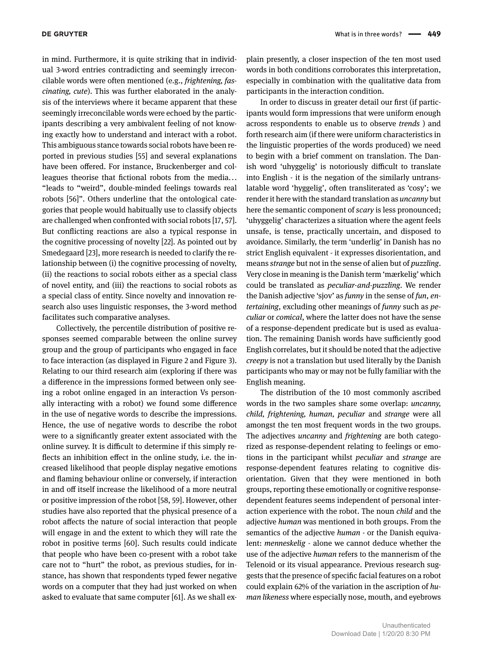in mind. Furthermore, it is quite striking that in individual 3-word entries contradicting and seemingly irreconcilable words were often mentioned (e.g., *frightening, fascinating, cute*). This was further elaborated in the analysis of the interviews where it became apparent that these seemingly irreconcilable words were echoed by the participants describing a very ambivalent feeling of not knowing exactly how to understand and interact with a robot. This ambiguous stance towards social robots have been reported in previous studies [\[55\]](#page-15-14) and several explanations have been offered. For instance, Bruckenberger and colleagues theorise that fictional robots from the media... "leads to "weird", double-minded feelings towards real robots [\[56\]](#page-15-15)". Others underline that the ontological categories that people would habitually use to classify objects are challenged when confronted with social robots [\[17,](#page-14-6) [57\]](#page-15-16). But conflicting reactions are also a typical response in the cognitive processing of novelty [\[22\]](#page-14-11). As pointed out by Smedegaard [\[23\]](#page-14-12), more research is needed to clarify the relationship between (i) the cognitive processing of novelty, (ii) the reactions to social robots either as a special class of novel entity, and (iii) the reactions to social robots as a special class of entity. Since novelty and innovation research also uses linguistic responses, the 3-word method facilitates such comparative analyses.

Collectively, the percentile distribution of positive responses seemed comparable between the online survey group and the group of participants who engaged in face to face interaction (as displayed in Figure 2 and Figure 3). Relating to our third research aim (exploring if there was a difference in the impressions formed between only seeing a robot online engaged in an interaction Vs personally interacting with a robot) we found some difference in the use of negative words to describe the impressions. Hence, the use of negative words to describe the robot were to a significantly greater extent associated with the online survey. It is difficult to determine if this simply reflects an inhibition effect in the online study, i.e. the increased likelihood that people display negative emotions and flaming behaviour online or conversely, if interaction in and off itself increase the likelihood of a more neutral or positive impression of the robot [\[58,](#page-15-17) [59\]](#page-15-13). However, other studies have also reported that the physical presence of a robot affects the nature of social interaction that people will engage in and the extent to which they will rate the robot in positive terms [\[60\]](#page-15-12). Such results could indicate that people who have been co-present with a robot take care not to "hurt" the robot, as previous studies, for instance, has shown that respondents typed fewer negative words on a computer that they had just worked on when asked to evaluate that same computer [\[61\]](#page-15-18). As we shall explain presently, a closer inspection of the ten most used words in both conditions corroborates this interpretation, especially in combination with the qualitative data from participants in the interaction condition.

In order to discuss in greater detail our first (if participants would form impressions that were uniform enough across respondents to enable us to observe *trends* ) and forth research aim (if there were uniform characteristics in the linguistic properties of the words produced) we need to begin with a brief comment on translation. The Danish word 'uhyggelig' is notoriously difficult to translate into English - it is the negation of the similarly untranslatable word 'hyggelig', often transliterated as 'cosy'; we render it here with the standard translation as *uncanny* but here the semantic component of *scary* is less pronounced; 'uhyggelig' characterizes a situation where the agent feels unsafe, is tense, practically uncertain, and disposed to avoidance. Similarly, the term 'underlig' in Danish has no strict English equivalent - it expresses disorientation, and means *strange* but not in the sense of alien but of *puzzling*. Very close in meaning is the Danish term 'mærkelig' which could be translated as *peculiar-and-puzzling*. We render the Danish adjective 'sjov' as *funny* in the sense of *fun*, *entertaining*, excluding other meanings of *funny* such as *peculiar* or *comical*, where the latter does not have the sense of a response-dependent predicate but is used as evaluation. The remaining Danish words have sufficiently good English correlates, but it should be noted that the adjective *creepy* is not a translation but used literally by the Danish participants who may or may not be fully familiar with the English meaning.

The distribution of the 10 most commonly ascribed words in the two samples share some overlap: *uncanny, child, frightening, human, peculiar* and *strange* were all amongst the ten most frequent words in the two groups. The adjectives *uncanny* and *frightening* are both categorized as response-dependent relating to feelings or emotions in the participant whilst *peculiar* and *strange* are response-dependent features relating to cognitive disorientation. Given that they were mentioned in both groups, reporting these emotionally or cognitive responsedependent features seems independent of personal interaction experience with the robot. The noun *child* and the adjective *human* was mentioned in both groups. From the semantics of the adjective *human* - or the Danish equivalent: *menneskelig* - alone we cannot deduce whether the use of the adjective *human* refers to the mannerism of the Telenoid or its visual appearance. Previous research suggests that the presence of specific facial features on a robot could explain 62% of the variation in the ascription of *human likeness* where especially nose, mouth, and eyebrows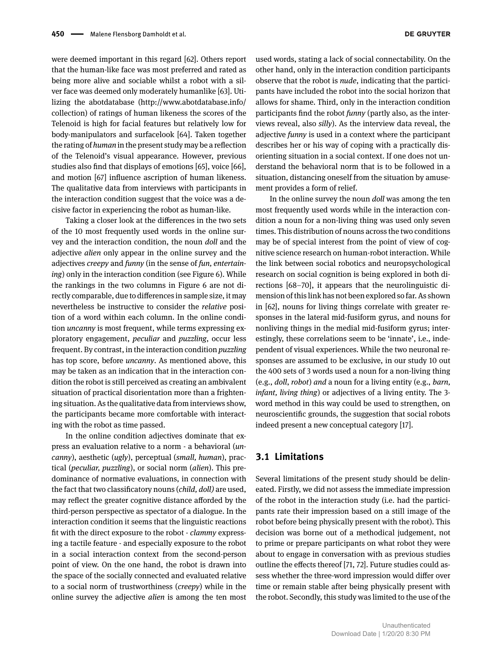were deemed important in this regard [\[62\]](#page-15-19). Others report that the human-like face was most preferred and rated as being more alive and sociable whilst a robot with a silver face was deemed only moderately humanlike [\[63\]](#page-15-20). Utilizing the abotdatabase [\(http://www.abotdatabase.info/](http://www.abotdatabase.info/collection) [collection\)](http://www.abotdatabase.info/collection) of ratings of human likeness the scores of the Telenoid is high for facial features but relatively low for body-manipulators and surfacelook [\[64\]](#page-15-21). Taken together the rating of *human* in the present study may be a reflection of the Telenoid's visual appearance. However, previous studies also find that displays of emotions [\[65\]](#page-15-22), voice [\[66\]](#page-15-23), and motion [\[67\]](#page-15-24) influence ascription of human likeness. The qualitative data from interviews with participants in

the interaction condition suggest that the voice was a de-

cisive factor in experiencing the robot as human-like. Taking a closer look at the differences in the two sets of the 10 most frequently used words in the online survey and the interaction condition, the noun *doll* and the adjective *alien* only appear in the online survey and the adjectives *creepy* and *funny* (in the sense of *fun, entertaining*) only in the interaction condition (see Figure 6). While the rankings in the two columns in Figure 6 are not directly comparable, due to differences in sample size, it may nevertheless be instructive to consider the *relative* position of a word within each column. In the online condition *uncanny* is most frequent, while terms expressing exploratory engagement, *peculiar* and *puzzling*, occur less frequent. By contrast, in the interaction condition *puzzling* has top score, before *uncanny*. As mentioned above, this may be taken as an indication that in the interaction condition the robot is still perceived as creating an ambivalent situation of practical disorientation more than a frightening situation. As the qualitative data from interviews show, the participants became more comfortable with interacting with the robot as time passed.

In the online condition adjectives dominate that express an evaluation relative to a norm - a behavioral (*uncanny*), aesthetic (*ugly*), perceptual (*small, human*), practical (*peculiar, puzzling*), or social norm (*alien*). This predominance of normative evaluations, in connection with the fact that two classificatory nouns (*child, doll)* are used, may reflect the greater cognitive distance afforded by the third-person perspective as spectator of a dialogue. In the interaction condition it seems that the linguistic reactions fit with the direct exposure to the robot - *clammy* expressing a tactile feature - and especially exposure to the robot in a social interaction context from the second-person point of view. On the one hand, the robot is drawn into the space of the socially connected and evaluated relative to a social norm of trustworthiness (*creepy*) while in the online survey the adjective *alien* is among the ten most

used words, stating a lack of social connectability. On the other hand, only in the interaction condition participants observe that the robot is *nude*, indicating that the participants have included the robot into the social horizon that allows for shame. Third, only in the interaction condition participants find the robot *funny* (partly also, as the interviews reveal, also *silly*). As the interview data reveal, the adjective *funny* is used in a context where the participant describes her or his way of coping with a practically disorienting situation in a social context. If one does not understand the behavioral norm that is to be followed in a situation, distancing oneself from the situation by amusement provides a form of relief.

In the online survey the noun *doll* was among the ten most frequently used words while in the interaction condition a noun for a non-living thing was used only seven times. This distribution of nouns across the two conditions may be of special interest from the point of view of cognitive science research on human-robot interaction. While the link between social robotics and neuropsychological research on social cognition is being explored in both directions [\[68–](#page-15-25)[70\]](#page-15-26), it appears that the neurolinguistic dimension of this link has not been explored so far. As shown in [\[62\]](#page-15-19), nouns for living things correlate with greater responses in the lateral mid-fusiform gyrus, and nouns for nonliving things in the medial mid-fusiform gyrus; interestingly, these correlations seem to be 'innate', i.e., independent of visual experiences. While the two neuronal responses are assumed to be exclusive, in our study 10 out the 400 sets of 3 words used a noun for a non-living thing (e.g., *doll*, *robot*) *and* a noun for a living entity (e.g., *barn, infant, living thing*) or adjectives of a living entity. The 3 word method in this way could be used to strengthen, on neuroscientific grounds, the suggestion that social robots indeed present a new conceptual category [\[17\]](#page-14-6).

#### **3.1 Limitations**

Several limitations of the present study should be delineated. Firstly, we did not assess the immediate impression of the robot in the interaction study (i.e. had the participants rate their impression based on a still image of the robot before being physically present with the robot). This decision was borne out of a methodical judgement, not to prime or prepare participants on what robot they were about to engage in conversation with as previous studies outline the effects thereof [\[71,](#page-15-27) [72\]](#page-15-28). Future studies could assess whether the three-word impression would differ over time or remain stable after being physically present with the robot. Secondly, this study was limited to the use of the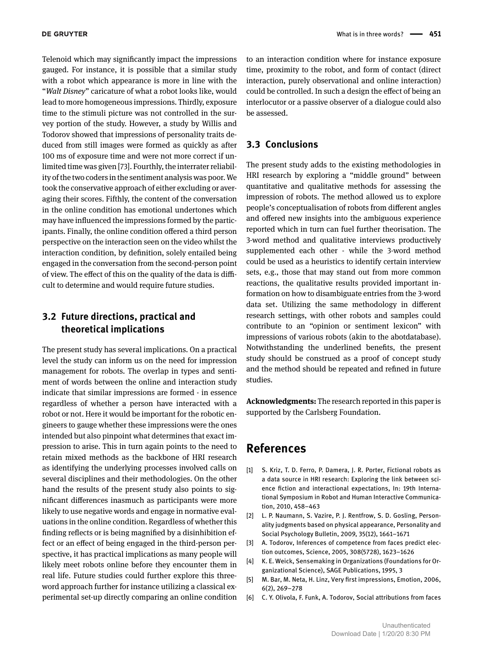Telenoid which may significantly impact the impressions gauged. For instance, it is possible that a similar study with a robot which appearance is more in line with the "*Walt Disney*" caricature of what a robot looks like, would lead to more homogeneous impressions. Thirdly, exposure time to the stimuli picture was not controlled in the survey portion of the study. However, a study by Willis and Todorov showed that impressions of personality traits deduced from still images were formed as quickly as after 100 ms of exposure time and were not more correct if unlimited time was given [\[73\]](#page-15-29). Fourthly, the interrater reliability of the two coders in the sentiment analysis was poor. We took the conservative approach of either excluding or averaging their scores. Fifthly, the content of the conversation in the online condition has emotional undertones which may have influenced the impressions formed by the participants. Finally, the online condition offered a third person perspective on the interaction seen on the video whilst the interaction condition, by definition, solely entailed being engaged in the conversation from the second-person point of view. The effect of this on the quality of the data is difficult to determine and would require future studies.

# **3.2 Future directions, practical and theoretical implications**

The present study has several implications. On a practical level the study can inform us on the need for impression management for robots. The overlap in types and sentiment of words between the online and interaction study indicate that similar impressions are formed - in essence regardless of whether a person have interacted with a robot or not. Here it would be important for the robotic engineers to gauge whether these impressions were the ones intended but also pinpoint what determines that exact impression to arise. This in turn again points to the need to retain mixed methods as the backbone of HRI research as identifying the underlying processes involved calls on several disciplines and their methodologies. On the other hand the results of the present study also points to significant differences inasmuch as participants were more likely to use negative words and engage in normative evaluations in the online condition. Regardless of whether this finding reflects or is being magnified by a disinhibition effect or an effect of being engaged in the third-person perspective, it has practical implications as many people will likely meet robots online before they encounter them in real life. Future studies could further explore this threeword approach further for instance utilizing a classical experimental set-up directly comparing an online condition

to an interaction condition where for instance exposure time, proximity to the robot, and form of contact (direct interaction, purely observational and online interaction) could be controlled. In such a design the effect of being an interlocutor or a passive observer of a dialogue could also be assessed.

#### **3.3 Conclusions**

The present study adds to the existing methodologies in HRI research by exploring a "middle ground" between quantitative and qualitative methods for assessing the impression of robots. The method allowed us to explore people's conceptualisation of robots from different angles and offered new insights into the ambiguous experience reported which in turn can fuel further theorisation. The 3-word method and qualitative interviews productively supplemented each other - while the 3-word method could be used as a heuristics to identify certain interview sets, e.g., those that may stand out from more common reactions, the qualitative results provided important information on how to disambiguate entries from the 3-word data set. Utilizing the same methodology in different research settings, with other robots and samples could contribute to an "opinion or sentiment lexicon" with impressions of various robots (akin to the abotdatabase). Notwithstanding the underlined benefits, the present study should be construed as a proof of concept study and the method should be repeated and refined in future studies.

**Acknowledgments:** The research reported in this paper is supported by the Carlsberg Foundation.

# **References**

- <span id="page-13-0"></span>[1] S. Kriz, T. D. Ferro, P. Damera, J. R. Porter, Fictional robots as a data source in HRI research: Exploring the link between science fiction and interactional expectations, In: 19th International Symposium in Robot and Human Interactive Communication, 2010, 458–463
- <span id="page-13-1"></span>[2] L. P. Naumann, S. Vazire, P. J. Rentfrow, S. D. Gosling, Personality judgments based on physical appearance, Personality and Social Psychology Bulletin, 2009, 35(12), 1661–1671
- [3] A. Todorov, Inferences of competence from faces predict election outcomes, Science, 2005, 308(5728), 1623–1626
- <span id="page-13-2"></span>[4] K. E. Weick, Sensemaking in Organizations (Foundations for Organizational Science), SAGE Publications, 1995, 3
- <span id="page-13-3"></span>[5] M. Bar, M. Neta, H. Linz, Very first impressions, Emotion, 2006, 6(2), 269–278
- <span id="page-13-4"></span>[6] C. Y. Olivola, F. Funk, A. Todorov, Social attributions from faces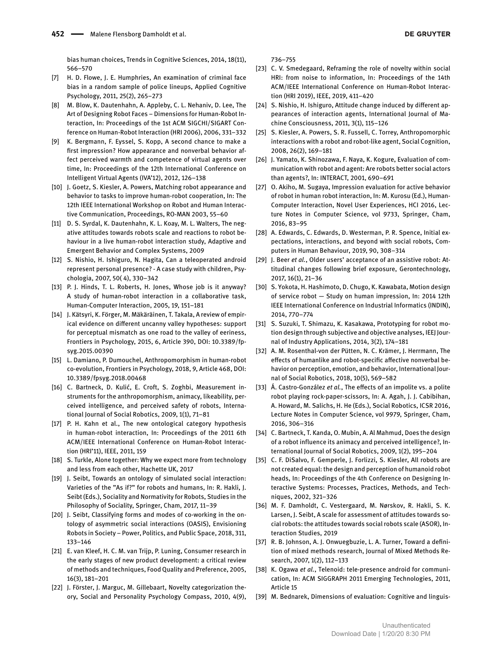bias human choices, Trends in Cognitive Sciences, 2014, 18(11), 566–570

- <span id="page-14-0"></span>[7] H. D. Flowe, J. E. Humphries, An examination of criminal face bias in a random sample of police lineups, Applied Cognitive Psychology, 2011, 25(2), 265–273
- <span id="page-14-1"></span>[8] M. Blow, K. Dautenhahn, A. Appleby, C. L. Nehaniv, D. Lee, The Art of Designing Robot Faces – Dimensions for Human-Robot Interaction, In: Proceedings of the 1st ACM SIGCHI/SIGART Conference on Human-Robot Interaction (HRI 2006), 2006, 331–332
- <span id="page-14-15"></span>[9] K. Bergmann, F. Eyssel, S. Kopp, A second chance to make a first impression? How appearance and nonverbal behavior affect perceived warmth and competence of virtual agents over time, In: Proceedings of the 12th International Conference on Intelligent Virtual Agents (IVA'12), 2012, 126–138
- [10] J. Goetz, S. Kiesler, A. Powers, Matching robot appearance and behavior to tasks to improve human-robot cooperation, In: The 12th IEEE International Workshop on Robot and Human Interactive Communication, Proceedings, RO-MAN 2003, 55–60
- [11] D. S. Syrdal, K. Dautenhahn, K. L. Koay, M. L. Walters, The negative attitudes towards robots scale and reactions to robot behaviour in a live human-robot interaction study, Adaptive and Emergent Behavior and Complex Systems, 2009
- <span id="page-14-2"></span>[12] S. Nishio, H. Ishiguro, N. Hagita, Can a teleoperated android represent personal presence? - A case study with children, Psychologia, 2007, 50( 4), 330–342
- <span id="page-14-3"></span>[13] P. J. Hinds, T. L. Roberts, H. Jones, Whose job is it anyway? A study of human-robot interaction in a collaborative task, Human-Computer Interaction, 2005, 19, 151–181
- <span id="page-14-4"></span>[14] J. Kätsyri, K. Förger, M. Mäkäräinen, T. Takala, A review of empirical evidence on different uncanny valley hypotheses: support for perceptual mismatch as one road to the valley of eeriness, Frontiers in Psychology, 2015, 6, Article 390, DOI: 10.3389/fpsyg.2015.00390
- [15] L. Damiano, P. Dumouchel, Anthropomorphism in human-robot co-evolution, Frontiers in Psychology, 2018, 9, Article 468, DOI: 10.3389/fpsyg.2018.00468
- <span id="page-14-5"></span>[16] C. Bartneck, D. Kulić, E. Croft, S. Zoghbi, Measurement instruments for the anthropomorphism, animacy, likeability, perceived intelligence, and perceived safety of robots, International Journal of Social Robotics, 2009, 1(1), 71–81
- <span id="page-14-6"></span>[17] P. H. Kahn et al., The new ontological category hypothesis in human-robot interaction, In: Proceedings of the 2011 6th ACM/IEEE International Conference on Human-Robot Interaction (HRI'11), IEEE, 2011, 159
- <span id="page-14-7"></span>[18] S. Turkle, Alone together: Why we expect more from technology and less from each other, Hachette UK, 2017
- <span id="page-14-8"></span>[19] J. Seibt, Towards an ontology of simulated social interaction: Varieties of the "As if?" for robots and humans, In: R. Hakli, J. Seibt (Eds.), Sociality and Normativity for Robots, Studies in the Philosophy of Sociality, Springer, Cham, 2017, 11–39
- <span id="page-14-9"></span>[20] J. Seibt, Classifying forms and modes of co-working in the ontology of asymmetric social interactions (OASIS), Envisioning Robots in Society – Power, Politics, and Public Space, 2018, 311, 133–146
- <span id="page-14-10"></span>[21] E. van Kleef, H. C. M. van Trijp, P. Luning, Consumer research in the early stages of new product development: a critical review of methods and techniques, Food Quality and Preference, 2005, 16(3), 181–201
- <span id="page-14-11"></span>[22] J. Förster, J. Marguc, M. Gillebaart, Novelty categorization theory, Social and Personality Psychology Compass, 2010, 4(9),

736–755

- <span id="page-14-12"></span>[23] C. V. Smedegaard, Reframing the role of novelty within social HRI: from noise to information, In: Proceedings of the 14th ACM/IEEE International Conference on Human-Robot Interaction (HRI 2019), IEEE, 2019, 411–420
- <span id="page-14-13"></span>[24] S. Nishio, H. Ishiguro, Attitude change induced by different appearances of interaction agents, International Journal of Machine Consciousness, 2011, 3(1), 115–126
- <span id="page-14-14"></span>[25] S. Kiesler, A. Powers, S. R. Fussell, C. Torrey, Anthropomorphic interactions with a robot and robot-like agent, Social Cognition, 2008, 26(2), 169–181
- [26] J. Yamato, K. Shinozawa, F. Naya, K. Kogure, Evaluation of communication with robot and agent: Are robots better social actors than agents?, In: INTERACT, 2001, 690–691
- <span id="page-14-16"></span>[27] O. Akiho, M. Sugaya, Impression evaluation for active behavior of robot in human robot interaction, In: M. Kurosu (Ed.), Human-Computer Interaction, Novel User Experiences, HCI 2016, Lecture Notes in Computer Science, vol 9733, Springer, Cham, 2016, 83–95
- <span id="page-14-17"></span>[28] A. Edwards, C. Edwards, D. Westerman, P. R. Spence, Initial expectations, interactions, and beyond with social robots, Computers in Human Behaviour, 2019, 90, 308–314
- <span id="page-14-18"></span>[29] J. Beer *et al.*, Older users' acceptance of an assistive robot: Attitudinal changes following brief exposure, Gerontechnology, 2017, 16(1), 21–36
- <span id="page-14-19"></span>[30] S. Yokota, H. Hashimoto, D. Chugo, K. Kawabata, Motion design of service robot — Study on human impression, In: 2014 12th IEEE International Conference on Industrial Informatics (INDIN), 2014, 770–774
- <span id="page-14-20"></span>[31] S. Suzuki, T. Shimazu, K. Kasakawa, Prototyping for robot motion design through subjective and objective analyses, IEEJ Journal of Industry Applications, 2014, 3(2), 174–181
- <span id="page-14-21"></span>[32] A. M. Rosenthal-von der Pütten, N. C. Krämer, J. Herrmann, The effects of humanlike and robot-specific affective nonverbal behavior on perception, emotion, and behavior, International Journal of Social Robotics, 2018, 10(5), 569–582
- <span id="page-14-22"></span>[33] Á. Castro-González *et al.*, The effects of an impolite vs. a polite robot playing rock-paper-scissors, In: A. Agah, J. J. Cabibihan, A. Howard, M. Salichs, H. He (Eds.), Social Robotics, ICSR 2016, Lecture Notes in Computer Science, vol 9979, Springer, Cham, 2016, 306–316
- [34] C. Bartneck, T. Kanda, O. Mubin, A. Al Mahmud, Does the design of a robot influence its animacy and perceived intelligence?, International Journal of Social Robotics, 2009, 1(2), 195–204
- <span id="page-14-23"></span>[35] C. F. DiSalvo, F. Gemperle, J. Forlizzi, S. Kiesler, All robots are not created equal: the design and perception of humanoid robot heads, In: Proceedings of the 4th Conference on Designing Interactive Systems: Processes, Practices, Methods, and Techniques, 2002, 321–326
- <span id="page-14-24"></span>[36] M. F. Damholdt, C. Vestergaard, M. Nørskov, R. Hakli, S. K. Larsen, J. Seibt, A scale for assessment of attitudes towards social robots: the attitudes towards social robots scale (ASOR), Interaction Studies, 2019
- <span id="page-14-25"></span>[37] R. B. Johnson, A. J. Onwuegbuzie, L. A. Turner, Toward a definition of mixed methods research, Journal of Mixed Methods Research, 2007, 1(2), 112–133
- <span id="page-14-26"></span>[38] K. Ogawa *et al.*, Telenoid: tele-presence android for communication, In: ACM SIGGRAPH 2011 Emerging Technologies, 2011, Article 15
- <span id="page-14-27"></span>[39] M. Bednarek, Dimensions of evaluation: Cognitive and linguis-